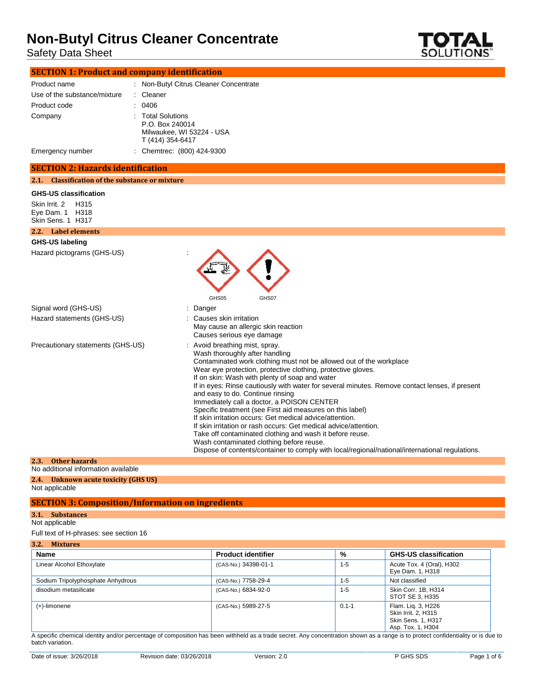Safety Data Sheet



| <b>SECTION 1: Product and company identification</b> |  |
|------------------------------------------------------|--|
|                                                      |  |

| Product name                 | : Non-Butyl Citrus Cleaner Concentrate                                                |
|------------------------------|---------------------------------------------------------------------------------------|
| Use of the substance/mixture | : Cleaner                                                                             |
| Product code                 | 0406                                                                                  |
| Company                      | : Total Solutions<br>P.O. Box 240014<br>Milwaukee, WI 53224 - USA<br>T (414) 354-6417 |
| Emergency number             | : Chemtrec: (800) 424-9300                                                            |

#### **SECTION 2: Hazards identification**

#### **2.1. Classification of the substance or mixture**

**GHS-US classification**

Skin Irrit. 2 H315 Eye Dam. 1 H318 Skin Sens. 1 H317

### **2.2. Label elements GHS-US labeling** Hazard pictograms (GHS-US) : GHS05 GHS07 Signal word (GHS-US) **in the state of the Signal word** (GHS-US) Hazard statements (GHS-US) : Causes skin irritation

|                                   | May cause an allergic skin reaction<br>Causes serious eye damage                                                                                                                                                                                                                                                                                                                                                                                                                                                                                                                                                                                                                                                                                                                                                                                      |
|-----------------------------------|-------------------------------------------------------------------------------------------------------------------------------------------------------------------------------------------------------------------------------------------------------------------------------------------------------------------------------------------------------------------------------------------------------------------------------------------------------------------------------------------------------------------------------------------------------------------------------------------------------------------------------------------------------------------------------------------------------------------------------------------------------------------------------------------------------------------------------------------------------|
| Precautionary statements (GHS-US) | : Avoid breathing mist, spray.<br>Wash thoroughly after handling<br>Contaminated work clothing must not be allowed out of the workplace<br>Wear eye protection, protective clothing, protective gloves.<br>If on skin: Wash with plenty of soap and water<br>If in eyes: Rinse cautiously with water for several minutes. Remove contact lenses, if present<br>and easy to do. Continue rinsing<br>Immediately call a doctor, a POISON CENTER<br>Specific treatment (see First aid measures on this label)<br>If skin irritation occurs: Get medical advice/attention.<br>If skin irritation or rash occurs: Get medical advice/attention.<br>Take off contaminated clothing and wash it before reuse.<br>Wash contaminated clothing before reuse.<br>Dispose of contents/container to comply with local/regional/national/international regulations. |

#### **2.3. Other hazards**

No additional information available

### **2.4. Unknown acute toxicity (GHS US)**

Not applicable

#### **SECTION 3: Composition/Information on ingredients**

**3.1. Substances**

#### Not applicable

Full text of H-phrases: see section 16

| Mixtures<br>ı |  |
|---------------|--|
|               |  |

| <b>Name</b>                       | <b>Product identifier</b> | %         | <b>GHS-US classification</b>                                                         |
|-----------------------------------|---------------------------|-----------|--------------------------------------------------------------------------------------|
| Linear Alcohol Ethoxylate         | (CAS-No.) 34398-01-1      | $1 - 5$   | Acute Tox. 4 (Oral), H302<br>Eye Dam. 1, H318                                        |
| Sodium Tripolyphosphate Anhydrous | (CAS-No.) 7758-29-4       | $1 - 5$   | Not classified                                                                       |
| disodium metasilicate             | (CAS-No.) 6834-92-0       | $1 - 5$   | Skin Corr. 1B, H314<br>STOT SE 3, H335                                               |
| $(+)$ -limonene                   | (CAS-No.) 5989-27-5       | $0.1 - 1$ | Flam. Lig. 3, H226<br>Skin Irrit. 2. H315<br>Skin Sens. 1, H317<br>Asp. Tox. 1, H304 |

A specific chemical identity and/or percentage of composition has been withheld as a trade secret. Any concentration shown as a range is to protect confidentiality or is due to batch variation.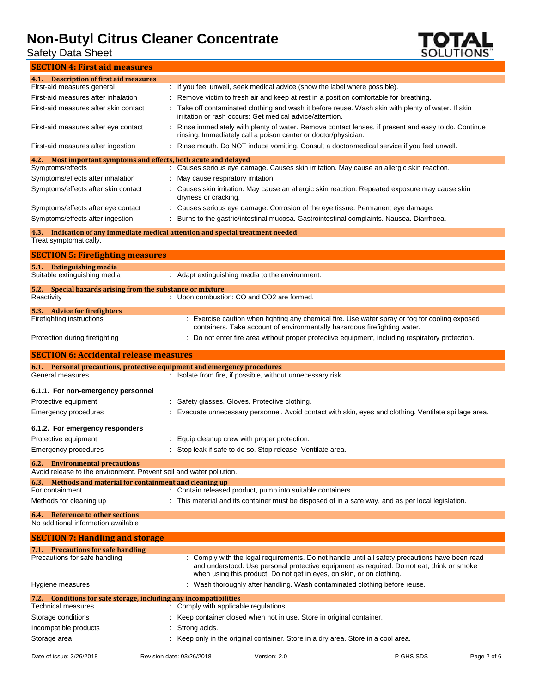Safety Data Sheet



| 4.1. Description of first aid measures                                                                                           |                                                                                                                                                                                                                                                                       |
|----------------------------------------------------------------------------------------------------------------------------------|-----------------------------------------------------------------------------------------------------------------------------------------------------------------------------------------------------------------------------------------------------------------------|
| First-aid measures general                                                                                                       | : If you feel unwell, seek medical advice (show the label where possible).                                                                                                                                                                                            |
| First-aid measures after inhalation                                                                                              | Remove victim to fresh air and keep at rest in a position comfortable for breathing.                                                                                                                                                                                  |
| First-aid measures after skin contact                                                                                            | Take off contaminated clothing and wash it before reuse. Wash skin with plenty of water. If skin<br>irritation or rash occurs: Get medical advice/attention.                                                                                                          |
| First-aid measures after eye contact                                                                                             | Rinse immediately with plenty of water. Remove contact lenses, if present and easy to do. Continue<br>rinsing. Immediately call a poison center or doctor/physician.                                                                                                  |
| First-aid measures after ingestion                                                                                               | Rinse mouth. Do NOT induce vomiting. Consult a doctor/medical service if you feel unwell.                                                                                                                                                                             |
| Most important symptoms and effects, both acute and delayed<br>4.2.                                                              |                                                                                                                                                                                                                                                                       |
| Symptoms/effects                                                                                                                 | : Causes serious eye damage. Causes skin irritation. May cause an allergic skin reaction.                                                                                                                                                                             |
| Symptoms/effects after inhalation                                                                                                | May cause respiratory irritation.                                                                                                                                                                                                                                     |
| Symptoms/effects after skin contact                                                                                              | Causes skin irritation. May cause an allergic skin reaction. Repeated exposure may cause skin<br>dryness or cracking.                                                                                                                                                 |
| Symptoms/effects after eye contact                                                                                               | : Causes serious eye damage. Corrosion of the eye tissue. Permanent eye damage.                                                                                                                                                                                       |
| Symptoms/effects after ingestion                                                                                                 | Burns to the gastric/intestinal mucosa. Gastrointestinal complaints. Nausea. Diarrhoea.                                                                                                                                                                               |
| 4.3.<br>Treat symptomatically.                                                                                                   | Indication of any immediate medical attention and special treatment needed                                                                                                                                                                                            |
| <b>SECTION 5: Firefighting measures</b>                                                                                          |                                                                                                                                                                                                                                                                       |
| 5.1. Extinguishing media                                                                                                         |                                                                                                                                                                                                                                                                       |
| Suitable extinguishing media                                                                                                     | : Adapt extinguishing media to the environment.                                                                                                                                                                                                                       |
| 5.2. Special hazards arising from the substance or mixture                                                                       |                                                                                                                                                                                                                                                                       |
| Reactivity                                                                                                                       | : Upon combustion: CO and CO2 are formed.                                                                                                                                                                                                                             |
| 5.3. Advice for fire fighters                                                                                                    |                                                                                                                                                                                                                                                                       |
| Firefighting instructions                                                                                                        | Exercise caution when fighting any chemical fire. Use water spray or fog for cooling exposed<br>÷<br>containers. Take account of environmentally hazardous firefighting water.                                                                                        |
| Protection during firefighting                                                                                                   | Do not enter fire area without proper protective equipment, including respiratory protection.                                                                                                                                                                         |
| <b>SECTION 6: Accidental release measures</b>                                                                                    |                                                                                                                                                                                                                                                                       |
| 6.1. Personal precautions, protective equipment and emergency procedures<br>General measures                                     | : Isolate from fire, if possible, without unnecessary risk.                                                                                                                                                                                                           |
| 6.1.1. For non-emergency personnel                                                                                               |                                                                                                                                                                                                                                                                       |
| Protective equipment                                                                                                             | Safety glasses. Gloves. Protective clothing.                                                                                                                                                                                                                          |
| <b>Emergency procedures</b>                                                                                                      | Evacuate unnecessary personnel. Avoid contact with skin, eyes and clothing. Ventilate spillage area.                                                                                                                                                                  |
|                                                                                                                                  |                                                                                                                                                                                                                                                                       |
| 6.1.2. For emergency responders                                                                                                  |                                                                                                                                                                                                                                                                       |
|                                                                                                                                  |                                                                                                                                                                                                                                                                       |
| Protective equipment                                                                                                             | Equip cleanup crew with proper protection.                                                                                                                                                                                                                            |
| <b>Emergency procedures</b>                                                                                                      | Stop leak if safe to do so. Stop release. Ventilate area.                                                                                                                                                                                                             |
| 6.2. Environmental precautions                                                                                                   |                                                                                                                                                                                                                                                                       |
| Avoid release to the environment. Prevent soil and water pollution.<br>6.3. Methods and material for containment and cleaning up |                                                                                                                                                                                                                                                                       |
| For containment                                                                                                                  | : Contain released product, pump into suitable containers.                                                                                                                                                                                                            |
| Methods for cleaning up                                                                                                          | : This material and its container must be disposed of in a safe way, and as per local legislation.                                                                                                                                                                    |
| <b>Reference to other sections</b><br>6.4.<br>No additional information available                                                |                                                                                                                                                                                                                                                                       |
| <b>SECTION 7: Handling and storage</b>                                                                                           |                                                                                                                                                                                                                                                                       |
| 7.1. Precautions for safe handling                                                                                               |                                                                                                                                                                                                                                                                       |
| Precautions for safe handling                                                                                                    | : Comply with the legal requirements. Do not handle until all safety precautions have been read<br>and understood. Use personal protective equipment as required. Do not eat, drink or smoke<br>when using this product. Do not get in eyes, on skin, or on clothing. |
| Hygiene measures                                                                                                                 | : Wash thoroughly after handling. Wash contaminated clothing before reuse.                                                                                                                                                                                            |
|                                                                                                                                  |                                                                                                                                                                                                                                                                       |
| 7.2. Conditions for safe storage, including any incompatibilities<br>Technical measures                                          | : Comply with applicable regulations.                                                                                                                                                                                                                                 |
| Storage conditions                                                                                                               | Keep container closed when not in use. Store in original container.                                                                                                                                                                                                   |
| Incompatible products                                                                                                            | Strong acids.                                                                                                                                                                                                                                                         |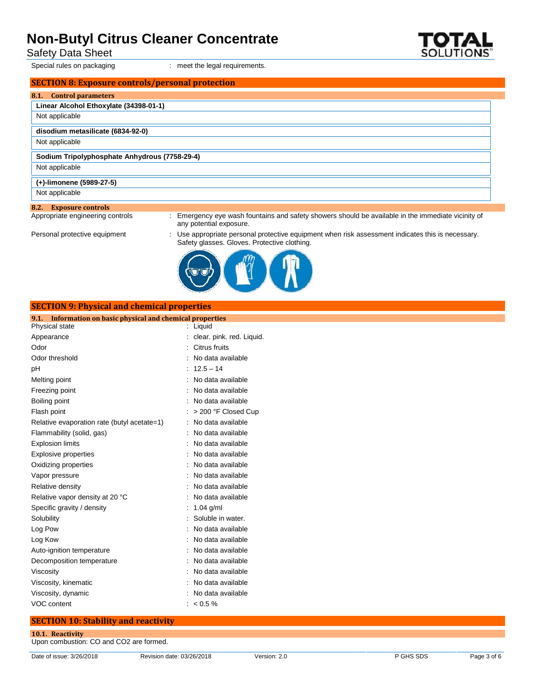Safety Data Sheet

**8.1. Control parameters**

# Special rules on packaging **interpretents** in meet the legal requirements. **SECTION 8: Exposure controls/personal protection Linear Alcohol Ethoxylate (34398-01-1) disodium metasilicate (6834-92-0)**

**(+)-limonene (5989-27-5)**

Not applicable

Not applicable

Not applicable

Not applicable

**8.2. Exposure controls**

: Emergency eye wash fountains and safety showers should be available in the immediate vicinity of any potential exposure.

Personal protective equipment : Use appropriate personal protective equipment when risk assessment indicates this is necessary. Safety glasses. Gloves. Protective clothing.



#### **SECTION 9: Physical and chemical properties**

**Sodium Tripolyphosphate Anhydrous (7758-29-4)**

#### **9.1. Information on basic physical and chemical properties**

| Physical state                              | : Liquid                  |
|---------------------------------------------|---------------------------|
| Appearance                                  | clear. pink. red. Liquid. |
| Odor                                        | Citrus fruits             |
| Odor threshold                              | No data available         |
| pH                                          | $: 12.5 - 14$             |
| Melting point                               | No data available         |
| Freezing point                              | No data available         |
| Boiling point                               | No data available         |
| Flash point                                 | > 200 °F Closed Cup       |
| Relative evaporation rate (butyl acetate=1) | No data available         |
| Flammability (solid, gas)                   | No data available         |
| <b>Explosion limits</b>                     | No data available         |
| <b>Explosive properties</b>                 | No data available         |
| Oxidizing properties                        | No data available         |
| Vapor pressure                              | No data available         |
| Relative density                            | No data available         |
| Relative vapor density at 20 °C             | No data available         |
| Specific gravity / density                  | $1.04$ g/ml               |
| Solubility                                  | Soluble in water.         |
| Log Pow                                     | No data available         |
| Log Kow                                     | No data available         |
| Auto-ignition temperature                   | No data available         |
| Decomposition temperature                   | No data available         |
| Viscosity                                   | No data available         |
| Viscosity, kinematic                        | No data available         |
| Viscosity, dynamic                          | No data available         |
| VOC content                                 | $< 0.5 \%$                |

#### **SECTION 10: Stability and reactivity**

**10.1. Reactivity** Upon combustion: CO and CO2 are formed.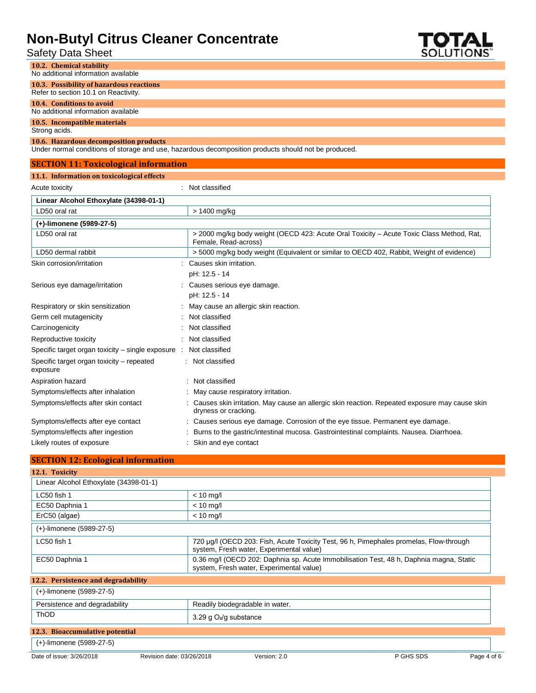Safety Data Sheet



#### **10.2. Chemical stability** No additional information available **10.3. Possibility of hazardous reactions** Refer to section 10.1 on Reactivity.

#### **10.4. Conditions to avoid**

No additional information available

#### **10.5. Incompatible materials**

Strong acids.

#### **10.6. Hazardous decomposition products**

Under normal conditions of storage and use, hazardous decomposition products should not be produced.

| <b>SECTION 11: Toxicological information</b>          |                                                                                                                         |
|-------------------------------------------------------|-------------------------------------------------------------------------------------------------------------------------|
| 11.1. Information on toxicological effects            |                                                                                                                         |
| Acute toxicity                                        | Not classified                                                                                                          |
| Linear Alcohol Ethoxylate (34398-01-1)                |                                                                                                                         |
| LD50 oral rat                                         | > 1400 mg/kg                                                                                                            |
| (+)-limonene (5989-27-5)                              |                                                                                                                         |
| LD50 oral rat                                         | > 2000 mg/kg body weight (OECD 423: Acute Oral Toxicity – Acute Toxic Class Method, Rat,<br>Female, Read-across)        |
| LD50 dermal rabbit                                    | > 5000 mg/kg body weight (Equivalent or similar to OECD 402, Rabbit, Weight of evidence)                                |
| Skin corrosion/irritation                             | Causes skin irritation.                                                                                                 |
|                                                       | pH: 12.5 - 14                                                                                                           |
| Serious eye damage/irritation                         | Causes serious eye damage.                                                                                              |
|                                                       | pH: 12.5 - 14                                                                                                           |
| Respiratory or skin sensitization                     | May cause an allergic skin reaction.                                                                                    |
| Germ cell mutagenicity                                | Not classified                                                                                                          |
| Carcinogenicity                                       | Not classified                                                                                                          |
| Reproductive toxicity                                 | Not classified                                                                                                          |
| Specific target organ toxicity – single exposure :    | Not classified                                                                                                          |
| Specific target organ toxicity - repeated<br>exposure | : Not classified                                                                                                        |
| Aspiration hazard                                     | : Not classified                                                                                                        |
| Symptoms/effects after inhalation                     | : May cause respiratory irritation.                                                                                     |
| Symptoms/effects after skin contact                   | : Causes skin irritation. May cause an allergic skin reaction. Repeated exposure may cause skin<br>dryness or cracking. |
| Symptoms/effects after eye contact                    | : Causes serious eye damage. Corrosion of the eye tissue. Permanent eye damage.                                         |
| Symptoms/effects after ingestion                      | : Burns to the gastric/intestinal mucosa. Gastrointestinal complaints. Nausea. Diarrhoea.                               |
| Likely routes of exposure                             | : Skin and eye contact                                                                                                  |

#### **SECTION 12: Ecological information**

| 12.1. Toxicity                         |                           |                                                                                                                                     |           |             |  |
|----------------------------------------|---------------------------|-------------------------------------------------------------------------------------------------------------------------------------|-----------|-------------|--|
| Linear Alcohol Ethoxylate (34398-01-1) |                           |                                                                                                                                     |           |             |  |
| LC50 fish 1                            | $< 10$ mg/l               |                                                                                                                                     |           |             |  |
| EC50 Daphnia 1                         | $< 10$ mg/l               |                                                                                                                                     |           |             |  |
| ErC50 (algae)                          | $< 10$ mg/l               |                                                                                                                                     |           |             |  |
| (+)-limonene (5989-27-5)               |                           |                                                                                                                                     |           |             |  |
| LC50 fish 1                            |                           | 720 µg/l (OECD 203: Fish, Acute Toxicity Test, 96 h, Pimephales promelas, Flow-through<br>system, Fresh water, Experimental value)  |           |             |  |
| EC50 Daphnia 1                         |                           | 0.36 mg/l (OECD 202: Daphnia sp. Acute Immobilisation Test, 48 h, Daphnia magna, Static<br>system, Fresh water, Experimental value) |           |             |  |
| 12.2. Persistence and degradability    |                           |                                                                                                                                     |           |             |  |
| (+)-limonene (5989-27-5)               |                           |                                                                                                                                     |           |             |  |
| Persistence and degradability          |                           | Readily biodegradable in water.                                                                                                     |           |             |  |
| <b>ThOD</b>                            |                           | 3.29 g $O_2$ /g substance                                                                                                           |           |             |  |
| 12.3. Bioaccumulative potential        |                           |                                                                                                                                     |           |             |  |
| (+)-limonene (5989-27-5)               |                           |                                                                                                                                     |           |             |  |
| Date of issue: 3/26/2018               | Revision date: 03/26/2018 | Version: 2.0                                                                                                                        | P GHS SDS | Page 4 of 6 |  |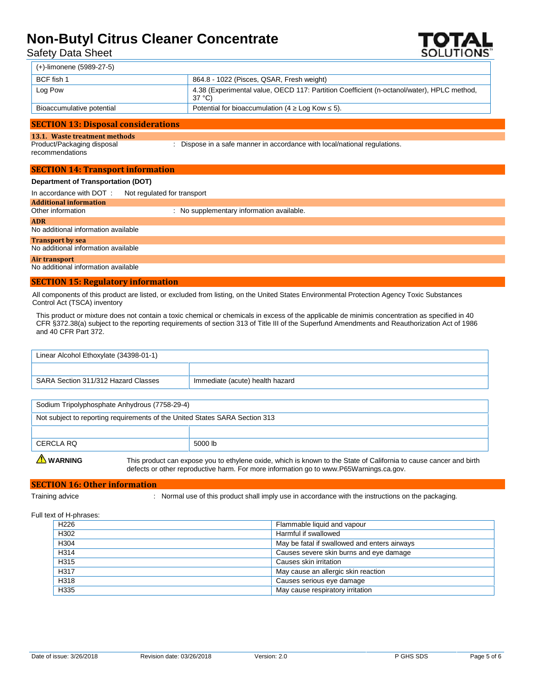Safety Data Sheet



| (+)-limonene (5989-27-5)  |                                                                                                     |
|---------------------------|-----------------------------------------------------------------------------------------------------|
| BCF fish 1                | 864.8 - 1022 (Pisces, QSAR, Fresh weight)                                                           |
| Log Pow                   | 4.38 (Experimental value, OECD 117: Partition Coefficient (n-octanol/water), HPLC method,<br>37 °C) |
| Bioaccumulative potential | Potential for bioaccumulation (4 Log Kow 5).                                                        |
|                           |                                                                                                     |

#### **SECTION 13: Disposal considerations**

#### **13.1. Waste treatment methods**

Product/Packaging disposal recommendations

: Dispose in a safe manner in accordance with local/national regulations.

#### **SECTION 14: Transport information Department of Transportation (DOT)**

| <b>Department or Transportation (DOT)</b> |                   |  |  |  |  |
|-------------------------------------------|-------------------|--|--|--|--|
|                                           | $\cdots$ $\cdots$ |  |  |  |  |

In accordance with DOT : Not regulated for transport

### **Additional information**

: No supplementary information available.

#### **ADR**

No additional information available

**Transport by sea**

No additional information available

#### **Air transport**

No additional information available

#### **SECTION 15: Regulatory information**

All components of this product are listed, or excluded from listing, on the United States Environmental Protection Agency Toxic Substances Control Act (TSCA) inventory

This product or mixture does not contain a toxic chemical or chemicals in excess of the applicable de minimis concentration as specified in 40 CFR §372.38(a) subject to the reporting requirements of section 313 of Title III of the Superfund Amendments and Reauthorization Act of 1986 and 40 CFR Part 372.

| Linear Alcohol Ethoxylate (34398-01-1) |                                 |  |  |
|----------------------------------------|---------------------------------|--|--|
|                                        |                                 |  |  |
| SARA Section 311/312 Hazard Classes    | Immediate (acute) health hazard |  |  |

| Sodium Tripolyphosphate Anhydrous (7758-29-4)                               |         |  |
|-----------------------------------------------------------------------------|---------|--|
| Not subject to reporting requirements of the United States SARA Section 313 |         |  |
|                                                                             |         |  |
| CERCLA RO                                                                   | 5000 lb |  |

WARNING This product can expose you to ethylene oxide, which is known to the State of California to cause cancer and birth defects or other reproductive harm. For more information go to www.P65Warnings.ca.gov.

#### **SECTION 16: Other information**

Training advice **included in the state of this product shall imply use in accordance with the instructions on the packaging.** 

#### Full text of H-phrases:

| H <sub>226</sub>  | Flammable liquid and vapour                  |
|-------------------|----------------------------------------------|
| H302              | Harmful if swallowed                         |
| H304              | May be fatal if swallowed and enters airways |
| H <sub>3</sub> 14 | Causes severe skin burns and eye damage      |
| H <sub>315</sub>  | Causes skin irritation                       |
| H317              | May cause an allergic skin reaction          |
| H318              | Causes serious eye damage                    |
| H335              | May cause respiratory irritation             |